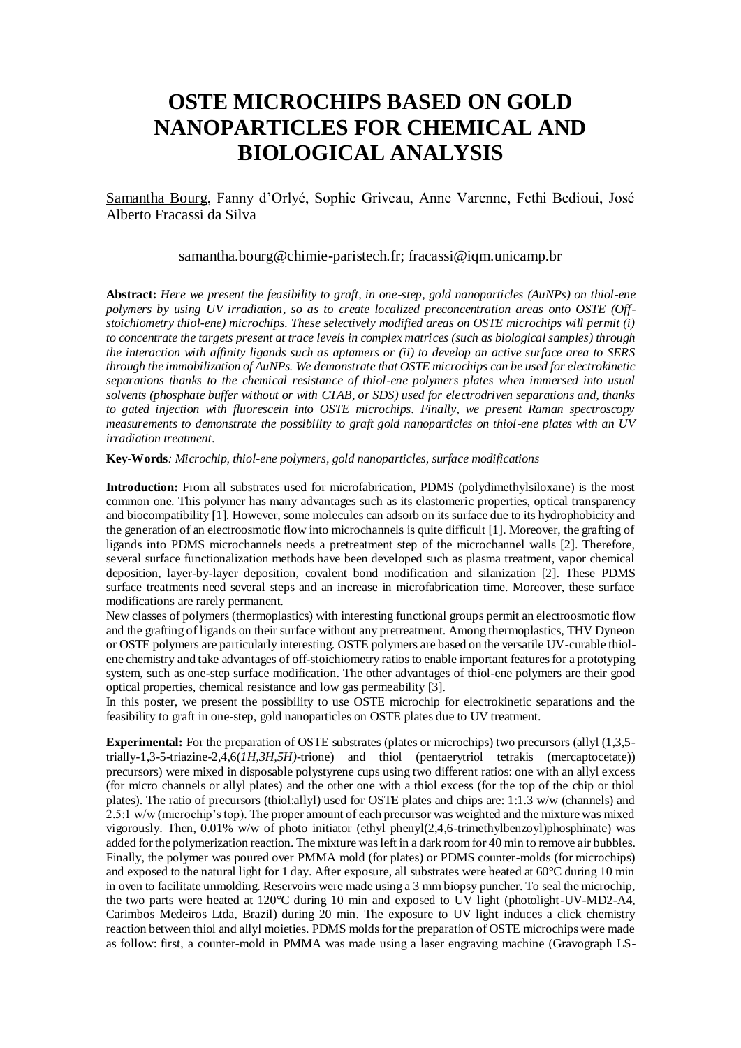# **OSTE MICROCHIPS BASED ON GOLD NANOPARTICLES FOR CHEMICAL AND BIOLOGICAL ANALYSIS**

Samantha Bourg, Fanny d'Orlyé, Sophie Griveau, Anne Varenne, Fethi Bedioui, José Alberto Fracassi da Silva

## samantha.bourg@chimie-paristech.fr; fracassi@iqm.unicamp.br

**Abstract:** *Here we present the feasibility to graft, in one-step, gold nanoparticles (AuNPs) on thiol-ene polymers by using UV irradiation, so as to create localized preconcentration areas onto OSTE (Offstoichiometry thiol-ene) microchips. These selectively modified areas on OSTE microchips will permit (i) to concentrate the targets present at trace levels in complex matrices (such as biological samples) through the interaction with affinity ligands such as aptamers or (ii) to develop an active surface area to SERS through the immobilization of AuNPs. We demonstrate that OSTE microchips can be used for electrokinetic separations thanks to the chemical resistance of thiol-ene polymers plates when immersed into usual solvents (phosphate buffer without or with CTAB, or SDS) used for electrodriven separations and, thanks to gated injection with fluorescein into OSTE microchips. Finally, we present Raman spectroscopy measurements to demonstrate the possibility to graft gold nanoparticles on thiol-ene plates with an UV irradiation treatment.* 

#### **Key-Words***: Microchip, thiol-ene polymers, gold nanoparticles, surface modifications*

**Introduction:** From all substrates used for microfabrication, PDMS (polydimethylsiloxane) is the most common one. This polymer has many advantages such as its elastomeric properties, optical transparency and biocompatibility [1]. However, some molecules can adsorb on its surface due to its hydrophobicity and the generation of an electroosmotic flow into microchannels is quite difficult [1]. Moreover, the grafting of ligands into PDMS microchannels needs a pretreatment step of the microchannel walls [2]. Therefore, several surface functionalization methods have been developed such as plasma treatment, vapor chemical deposition, layer-by-layer deposition, covalent bond modification and silanization [2]. These PDMS surface treatments need several steps and an increase in microfabrication time. Moreover, these surface modifications are rarely permanent.

New classes of polymers (thermoplastics) with interesting functional groups permit an electroosmotic flow and the grafting of ligands on their surface without any pretreatment. Among thermoplastics, THV Dyneon or OSTE polymers are particularly interesting. OSTE polymers are based on the versatile UV-curable thiolene chemistry and take advantages of off-stoichiometry ratios to enable important features for a prototyping system, such as one-step surface modification. The other advantages of thiol-ene polymers are their good optical properties, chemical resistance and low gas permeability [3].

In this poster, we present the possibility to use OSTE microchip for electrokinetic separations and the feasibility to graft in one-step, gold nanoparticles on OSTE plates due to UV treatment.

**Experimental:** For the preparation of OSTE substrates (plates or microchips) two precursors (allyl (1,3,5trially-1,3-5-triazine-2,4,6(*1H,3H,5H)*-trione) and thiol (pentaerytriol tetrakis (mercaptocetate)) precursors) were mixed in disposable polystyrene cups using two different ratios: one with an allyl excess (for micro channels or allyl plates) and the other one with a thiol excess (for the top of the chip or thiol plates). The ratio of precursors (thiol:allyl) used for OSTE plates and chips are: 1:1.3 w/w (channels) and 2.5:1 w/w (microchip's top). The proper amount of each precursor was weighted and the mixture was mixed vigorously. Then, 0.01% w/w of photo initiator (ethyl phenyl(2,4,6-trimethylbenzoyl)phosphinate) was added for the polymerization reaction. The mixture was left in a dark room for 40 min to remove air bubbles. Finally, the polymer was poured over PMMA mold (for plates) or PDMS counter-molds (for microchips) and exposed to the natural light for 1 day. After exposure, all substrates were heated at 60°C during 10 min in oven to facilitate unmolding. Reservoirs were made using a 3 mm biopsy puncher. To seal the microchip, the two parts were heated at 120°C during 10 min and exposed to UV light (photolight-UV-MD2-A4, Carimbos Medeiros Ltda, Brazil) during 20 min. The exposure to UV light induces a click chemistry reaction between thiol and allyl moieties. PDMS molds for the preparation of OSTE microchips were made as follow: first, a counter-mold in PMMA was made using a laser engraving machine (Gravograph LS-